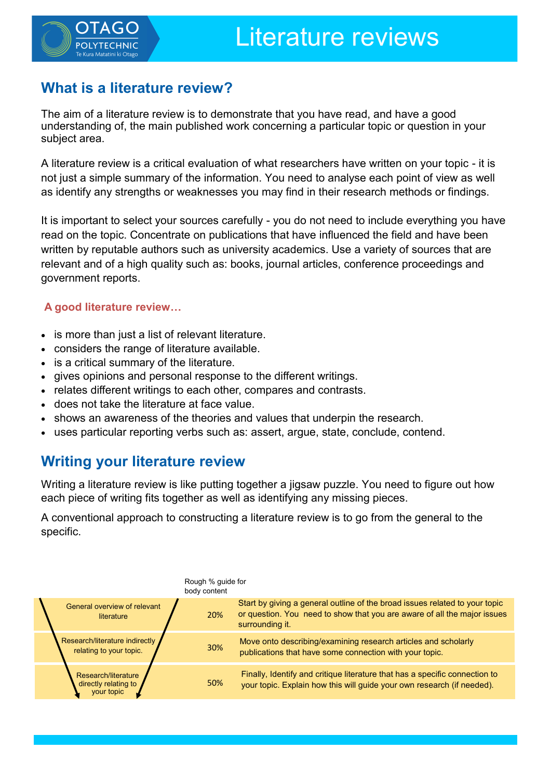

# **What is a literature review?**

The aim of a literature review is to demonstrate that you have read, and have a good understanding of, the main published work concerning a particular topic or question in your subject area.

A literature review is a critical evaluation of what researchers have written on your topic - it is not just a simple summary of the information. You need to analyse each point of view as well as identify any strengths or weaknesses you may find in their research methods or findings.

It is important to select your sources carefully - you do not need to include everything you have read on the topic. Concentrate on publications that have influenced the field and have been written by reputable authors such as university academics. Use a variety of sources that are relevant and of a high quality such as: books, journal articles, conference proceedings and government reports.

# **A good literature review…**

- is more than just a list of relevant literature.
- considers the range of literature available.
- is a critical summary of the literature.
- gives opinions and personal response to the different writings.
- relates different writings to each other, compares and contrasts.
- does not take the literature at face value.
- shows an awareness of the theories and values that underpin the research.
- uses particular reporting verbs such as: assert, argue, state, conclude, contend.

# **Writing your literature review**

Writing a literature review is like putting together a jigsaw puzzle. You need to figure out how each piece of writing fits together as well as identifying any missing pieces.

A conventional approach to constructing a literature review is to go from the general to the specific.

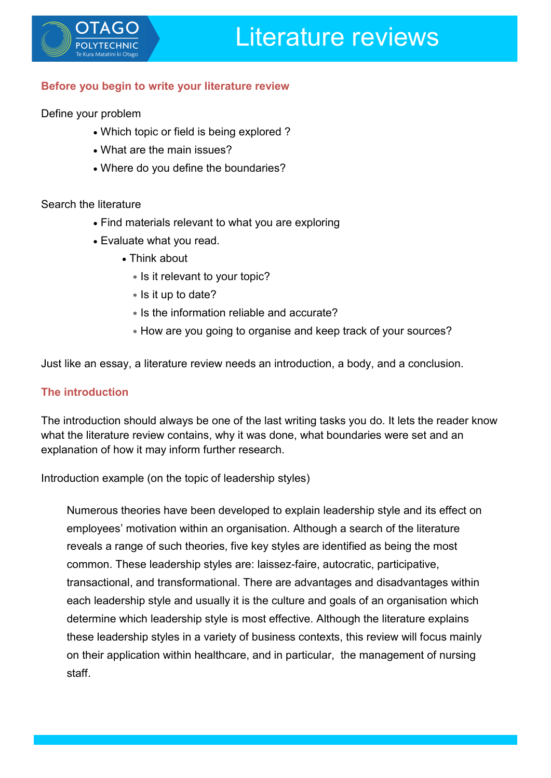

## **Before you begin to write your literature review**

Define your problem

- Which topic or field is being explored ?
- What are the main issues?
- Where do you define the boundaries?

### Search the literature

- Find materials relevant to what you are exploring
- Evaluate what you read.
	- Think about
		- \* Is it relevant to your topic?
		- \* Is it up to date?
		- \* Is the information reliable and accurate?
		- \* How are you going to organise and keep track of your sources?

Just like an essay, a literature review needs an introduction, a body, and a conclusion.

## **The introduction**

The introduction should always be one of the last writing tasks you do. It lets the reader know what the literature review contains, why it was done, what boundaries were set and an explanation of how it may inform further research.

Introduction example (on the topic of leadership styles)

Numerous theories have been developed to explain leadership style and its effect on employees' motivation within an organisation. Although a search of the literature reveals a range of such theories, five key styles are identified as being the most common. These leadership styles are: laissez-faire, autocratic, participative, transactional, and transformational. There are advantages and disadvantages within each leadership style and usually it is the culture and goals of an organisation which determine which leadership style is most effective. Although the literature explains these leadership styles in a variety of business contexts, this review will focus mainly on their application within healthcare, and in particular, the management of nursing staff.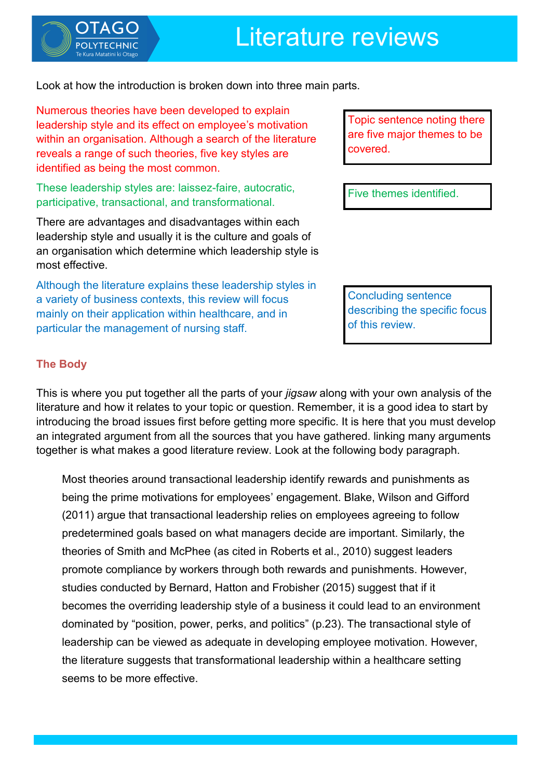



Look at how the introduction is broken down into three main parts.

Numerous theories have been developed to explain leadership style and its effect on employee's motivation within an organisation. Although a search of the literature reveals a range of such theories, five key styles are identified as being the most common.

These leadership styles are: laissez-faire, autocratic, participative, transactional, and transformational.

There are advantages and disadvantages within each leadership style and usually it is the culture and goals of an organisation which determine which leadership style is most effective.

Although the literature explains these leadership styles in a variety of business contexts, this review will focus mainly on their application within healthcare, and in particular the management of nursing staff.

Topic sentence noting there are five major themes to be covered.

Five themes identified.

Concluding sentence describing the specific focus of this review.

# **The Body**

This is where you put together all the parts of your *jigsaw* along with your own analysis of the literature and how it relates to your topic or question. Remember, it is a good idea to start by introducing the broad issues first before getting more specific. It is here that you must develop an integrated argument from all the sources that you have gathered. linking many arguments together is what makes a good literature review. Look at the following body paragraph.

Most theories around transactional leadership identify rewards and punishments as being the prime motivations for employees' engagement. Blake, Wilson and Gifford (2011) argue that transactional leadership relies on employees agreeing to follow predetermined goals based on what managers decide are important. Similarly, the theories of Smith and McPhee (as cited in Roberts et al., 2010) suggest leaders promote compliance by workers through both rewards and punishments. However, studies conducted by Bernard, Hatton and Frobisher (2015) suggest that if it becomes the overriding leadership style of a business it could lead to an environment dominated by "position, power, perks, and politics" (p.23). The transactional style of leadership can be viewed as adequate in developing employee motivation. However, the literature suggests that transformational leadership within a healthcare setting seems to be more effective.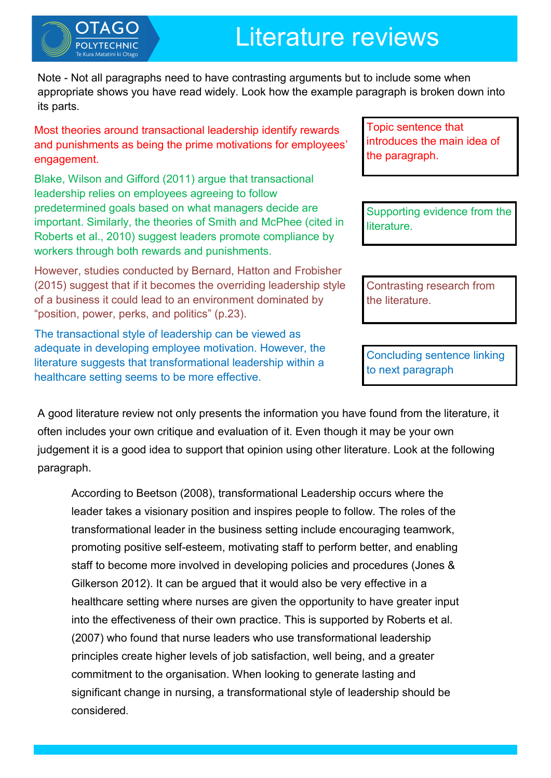# Literature reviews

Note - Not all paragraphs need to have contrasting arguments but to include some when appropriate shows you have read widely. Look how the example paragraph is broken down into its parts.

Most theories around transactional leadership identify rewards and punishments as being the prime motivations for employees' engagement.

Blake, Wilson and Gifford (2011) argue that transactional leadership relies on employees agreeing to follow predetermined goals based on what managers decide are important. Similarly, the theories of Smith and McPhee (cited in Roberts et al., 2010) suggest leaders promote compliance by workers through both rewards and punishments.

However, studies conducted by Bernard, Hatton and Frobisher (2015) suggest that if it becomes the overriding leadership style of a business it could lead to an environment dominated by "position, power, perks, and politics" (p.23).

The transactional style of leadership can be viewed as adequate in developing employee motivation. However, the literature suggests that transformational leadership within a healthcare setting seems to be more effective.

Topic sentence that introduces the main idea of the paragraph.

Supporting evidence from the literature.

Contrasting research from the literature.

Concluding sentence linking to next paragraph

A good literature review not only presents the information you have found from the literature, it often includes your own critique and evaluation of it. Even though it may be your own judgement it is a good idea to support that opinion using other literature. Look at the following paragraph.

According to Beetson (2008), transformational Leadership occurs where the leader takes a visionary position and inspires people to follow. The roles of the transformational leader in the business setting include encouraging teamwork, promoting positive self-esteem, motivating staff to perform better, and enabling staff to become more involved in developing policies and procedures (Jones & Gilkerson 2012). It can be argued that it would also be very effective in a healthcare setting where nurses are given the opportunity to have greater input into the effectiveness of their own practice. This is supported by Roberts et al. (2007) who found that nurse leaders who use transformational leadership principles create higher levels of job satisfaction, well being, and a greater commitment to the organisation. When looking to generate lasting and significant change in nursing, a transformational style of leadership should be considered.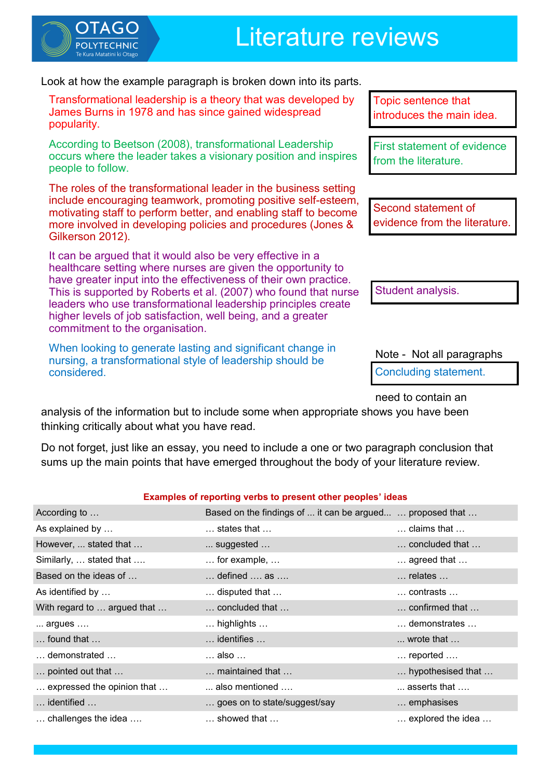

Look at how the example paragraph is broken down into its parts.

Transformational leadership is a theory that was developed by James Burns in 1978 and has since gained widespread popularity.

According to Beetson (2008), transformational Leadership occurs where the leader takes a visionary position and inspires people to follow.

The roles of the transformational leader in the business setting include encouraging teamwork, promoting positive self-esteem, motivating staff to perform better, and enabling staff to become more involved in developing policies and procedures (Jones & Gilkerson 2012).

It can be argued that it would also be very effective in a healthcare setting where nurses are given the opportunity to have greater input into the effectiveness of their own practice. This is supported by Roberts et al. (2007) who found that nurse leaders who use transformational leadership principles create higher levels of job satisfaction, well being, and a greater commitment to the organisation.

When looking to generate lasting and significant change in nursing, a transformational style of leadership should be considered.

Topic sentence that introduces the main idea.

First statement of evidence from the literature.

Second statement of evidence from the literature.

Student analysis.

Note - Not all paragraphs

Concluding statement.

need to contain an

analysis of the information but to include some when appropriate shows you have been thinking critically about what you have read.

Do not forget, just like an essay, you need to include a one or two paragraph conclusion that sums up the main points that have emerged throughout the body of your literature review.

#### **Examples of reporting verbs to present other peoples' ideas**

| According to                          | Based on the findings of  it can be argued  proposed that |                               |
|---------------------------------------|-----------------------------------------------------------|-------------------------------|
| As explained by                       | $\dots$ states that $\dots$                               | $\dots$ claims that $\dots$   |
| However,  stated that                 | $\dots$ suggested $\dots$                                 | concluded that                |
| Similarly,  stated that               | $\ldots$ for example, $\ldots$                            | $\ldots$ agreed that $\ldots$ |
| Based on the ideas of                 | $\dots$ defined $\dots$ as $\dots$                        | $\dots$ relates $\dots$       |
| As identified by                      | $\dots$ disputed that $\dots$                             | $\dots$ contrasts $\dots$     |
| With regard to  argued that           | $\ldots$ concluded that $\ldots$                          | confirmed that                |
| argues                                | $\ldots$ highlights $\ldots$                              | demonstrates                  |
| $\ldots$ found that $\ldots$          | $\dots$ identifies $\dots$                                | $\dots$ wrote that $\dots$    |
| $\dots$ demonstrated $\dots$          | … also …                                                  | $\dots$ reported $\dots$      |
| pointed out that                      | maintained that                                           | hypothesised that             |
| expressed the opinion that            | $\dots$ also mentioned $\dots$                            | $\dots$ asserts that $\dots$  |
| $\dots$ identified $\dots$            | goes on to state/suggest/say                              | emphasises                    |
| $\ldots$ challenges the idea $\ldots$ | $\dots$ showed that $\dots$                               | explored the idea             |